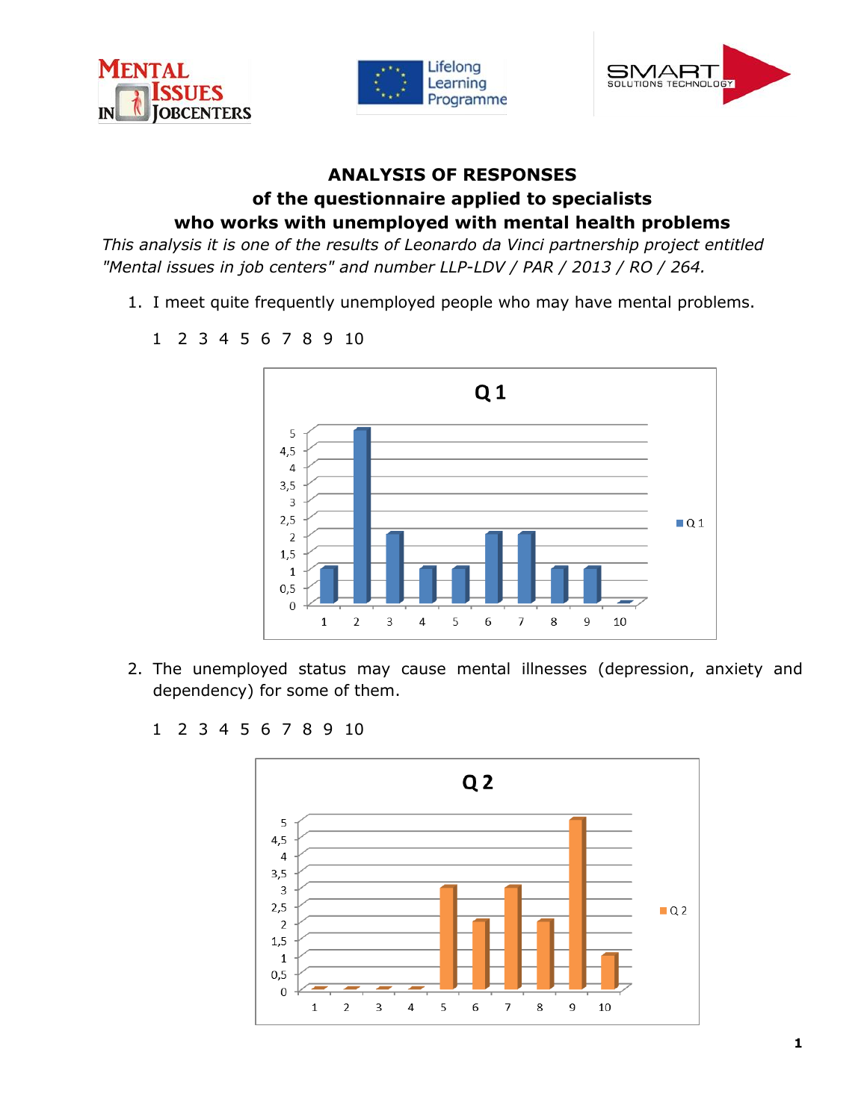





## **ANALYSIS OF RESPONSES of the questionnaire applied to specialists who works with unemployed with mental health problems**

*This analysis it is one of the results of Leonardo da Vinci partnership project entitled "Mental issues in job centers" and number LLP-LDV / PAR / 2013 / RO / 264.*

1. I meet quite frequently unemployed people who may have mental problems.



2. The unemployed status may cause mental illnesses (depression, anxiety and dependency) for some of them.



1 2 3 4 5 6 7 8 9 10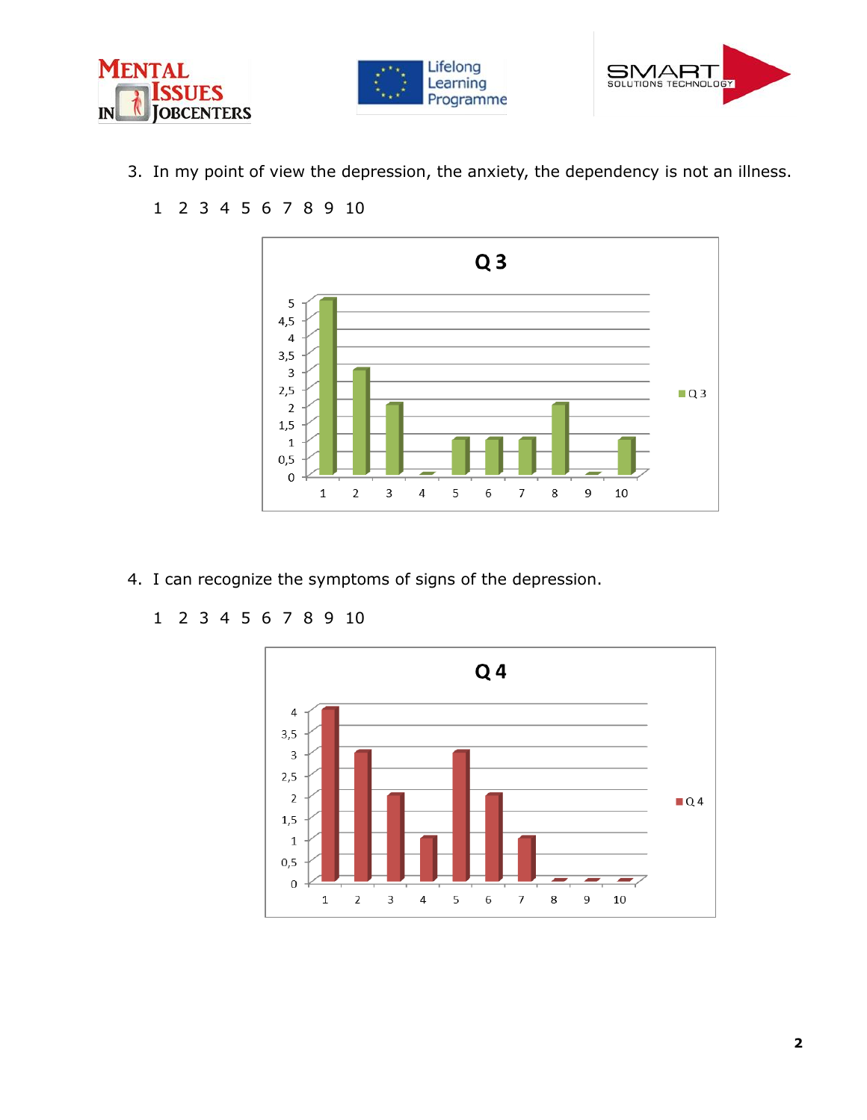





3. In my point of view the depression, the anxiety, the dependency is not an illness.



- 4. I can recognize the symptoms of signs of the depression.
	- 1 2 3 4 5 6 7 8 9 10

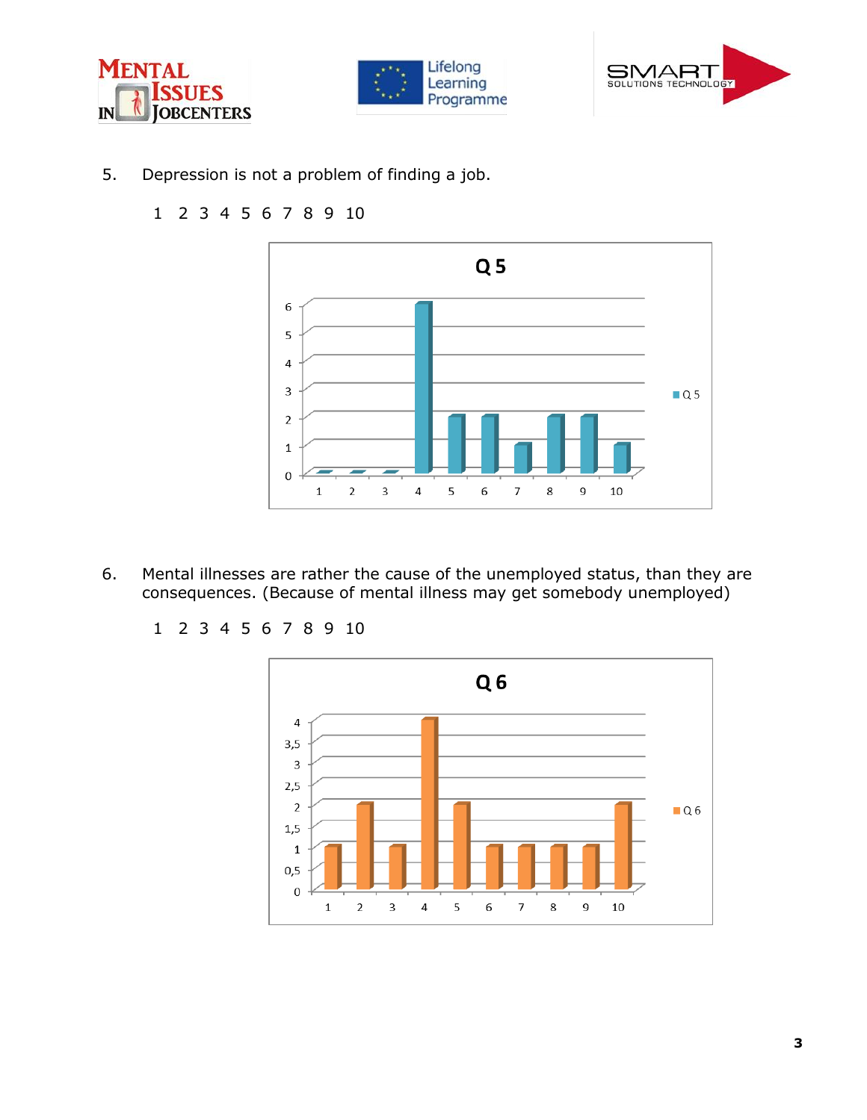





5. Depression is not a problem of finding a job.

## 1 2 3 4 5 6 7 8 9 10



6. Mental illnesses are rather the cause of the unemployed status, than they are consequences. (Because of mental illness may get somebody unemployed)

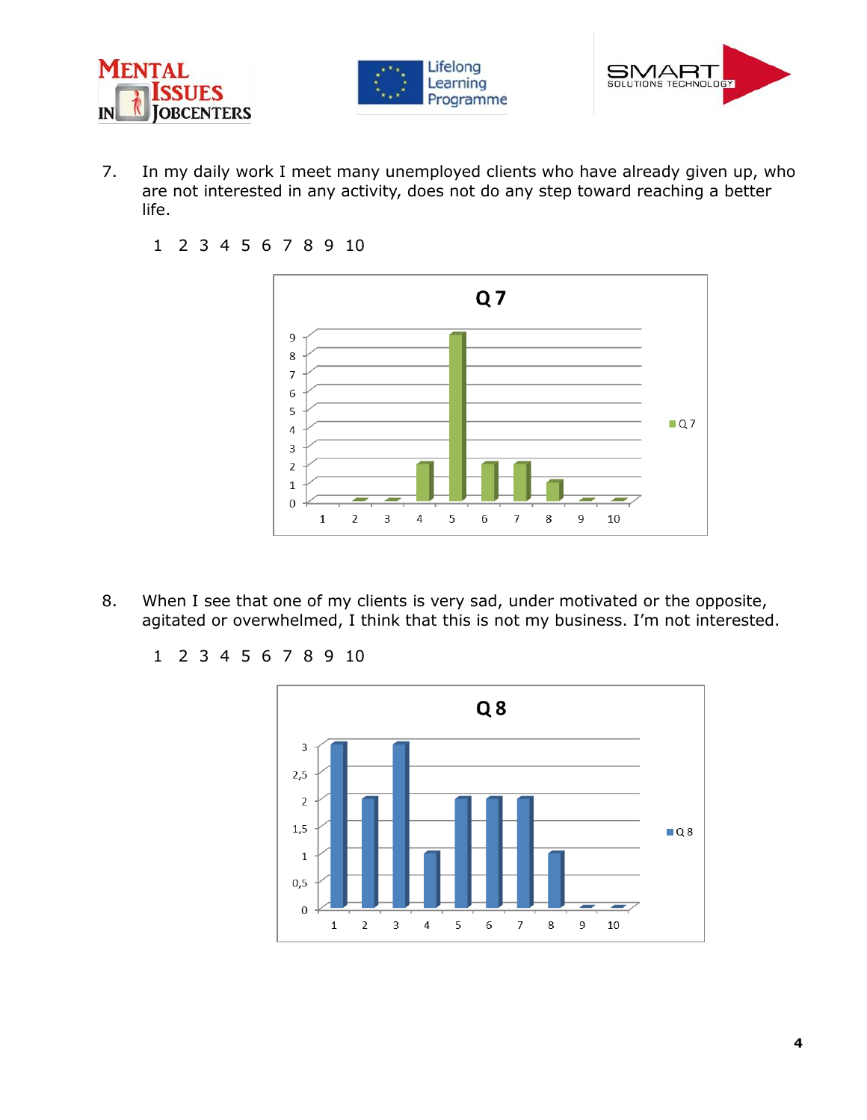





- 7. In my daily work I meet many unemployed clients who have already given up, who are not interested in any activity, does not do any step toward reaching a better life.
	- 1 2 3 4 5 6 7 8 9 10



- 8. When I see that one of my clients is very sad, under motivated or the opposite, agitated or overwhelmed, I think that this is not my business. I'm not interested.
	- 1 2 3 4 5 6 7 8 9 10

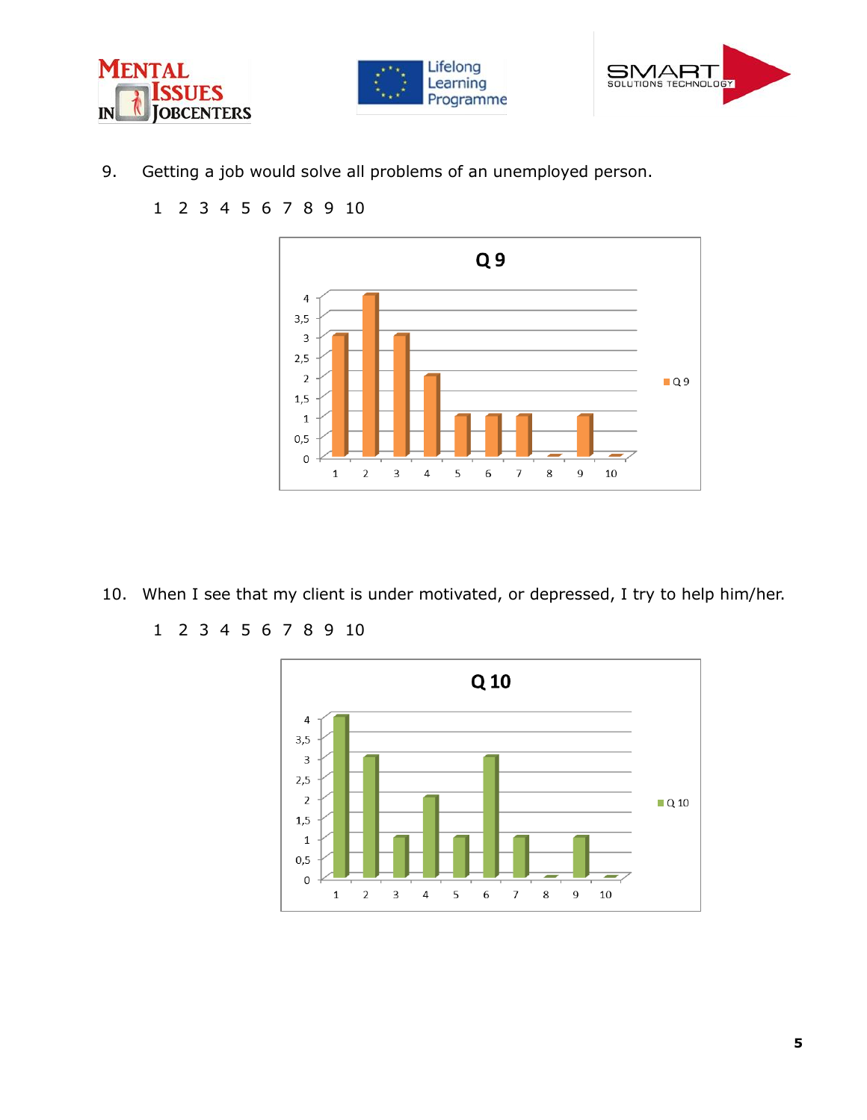





9. Getting a job would solve all problems of an unemployed person.



- 10. When I see that my client is under motivated, or depressed, I try to help him/her.
	- 1 2 3 4 5 6 7 8 9 10

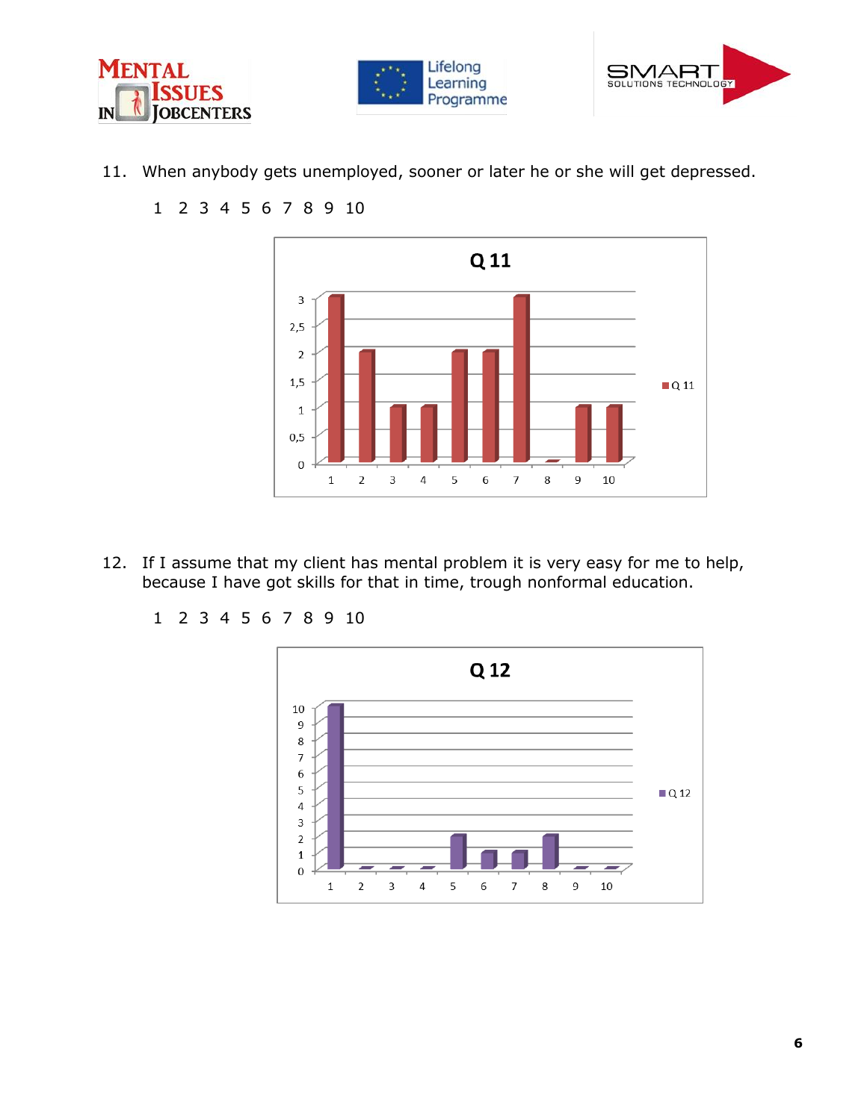





11. When anybody gets unemployed, sooner or later he or she will get depressed.



- 12. If I assume that my client has mental problem it is very easy for me to help, because I have got skills for that in time, trough nonformal education.
	- 1 2 3 4 5 6 7 8 9 10

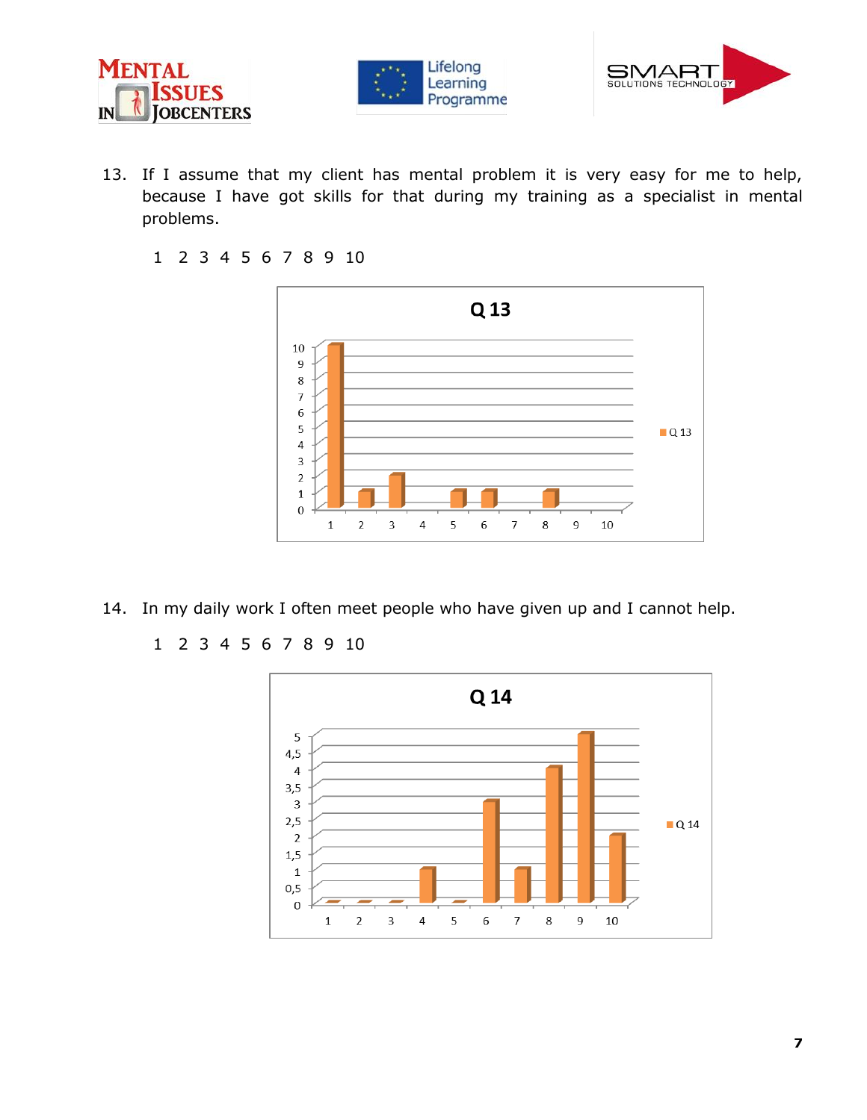





- 13. If I assume that my client has mental problem it is very easy for me to help, because I have got skills for that during my training as a specialist in mental problems.
	- 1 2 3 4 5 6 7 8 9 10



- 14. In my daily work I often meet people who have given up and I cannot help.
	- 1 2 3 4 5 6 7 8 9 10

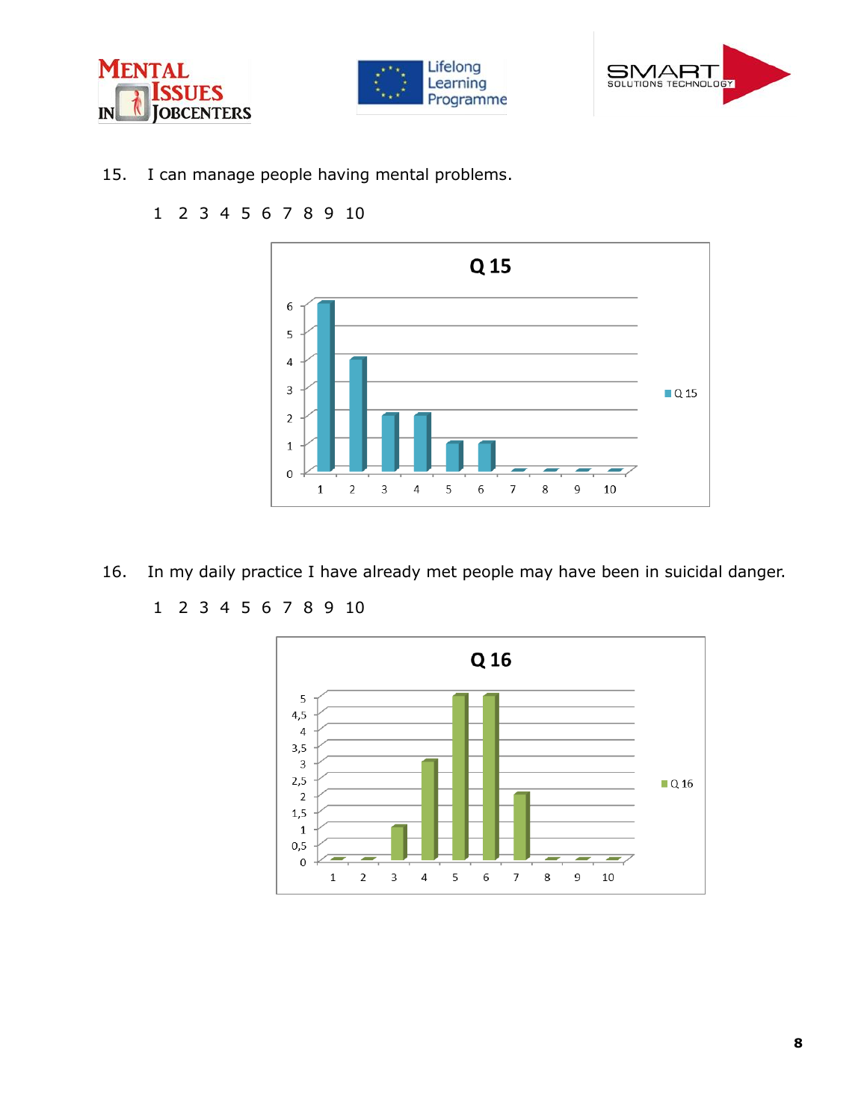





15. I can manage people having mental problems.



- 16. In my daily practice I have already met people may have been in suicidal danger.
	- 1 2 3 4 5 6 7 8 9 10

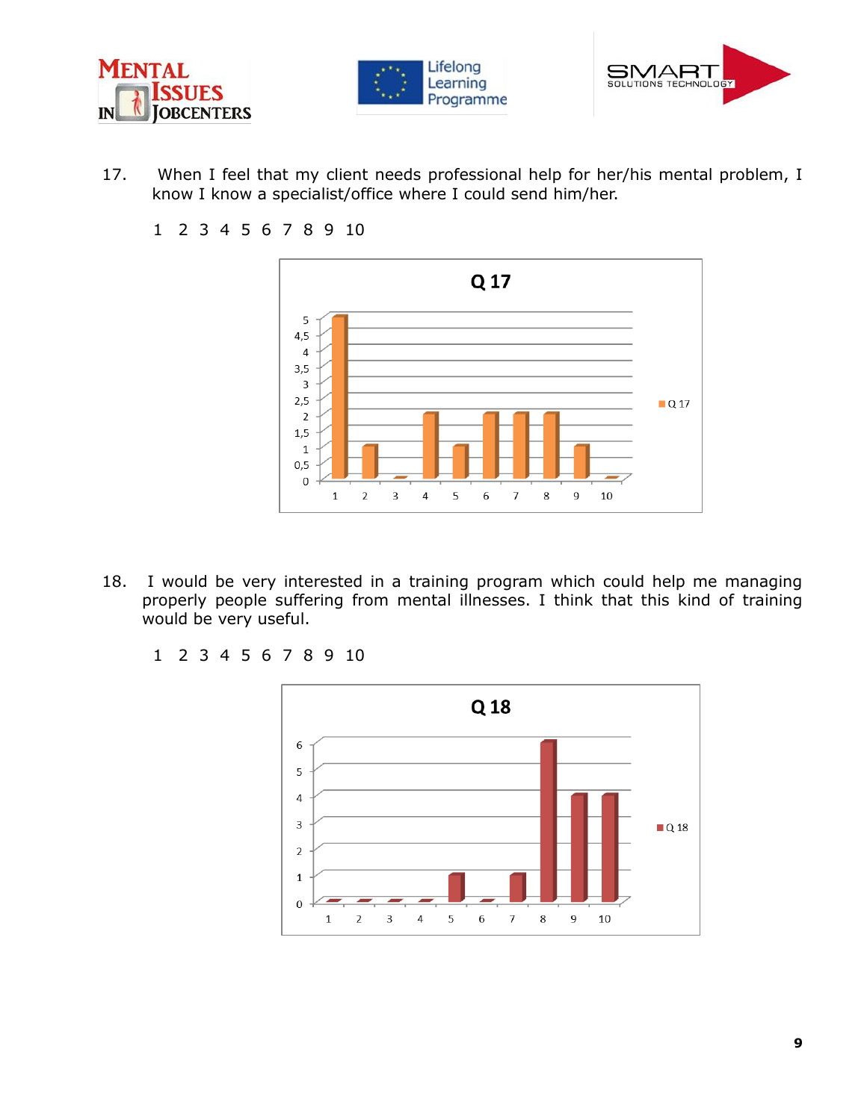





- 17. When I feel that my client needs professional help for her/his mental problem, I know I know a specialist/office where I could send him/her.
	- 1 2 3 4 5 6 7 8 9 10



- 18. I would be very interested in a training program which could help me managing properly people suffering from mental illnesses. I think that this kind of training would be very useful.
	- 1 2 3 4 5 6 7 8 9 10

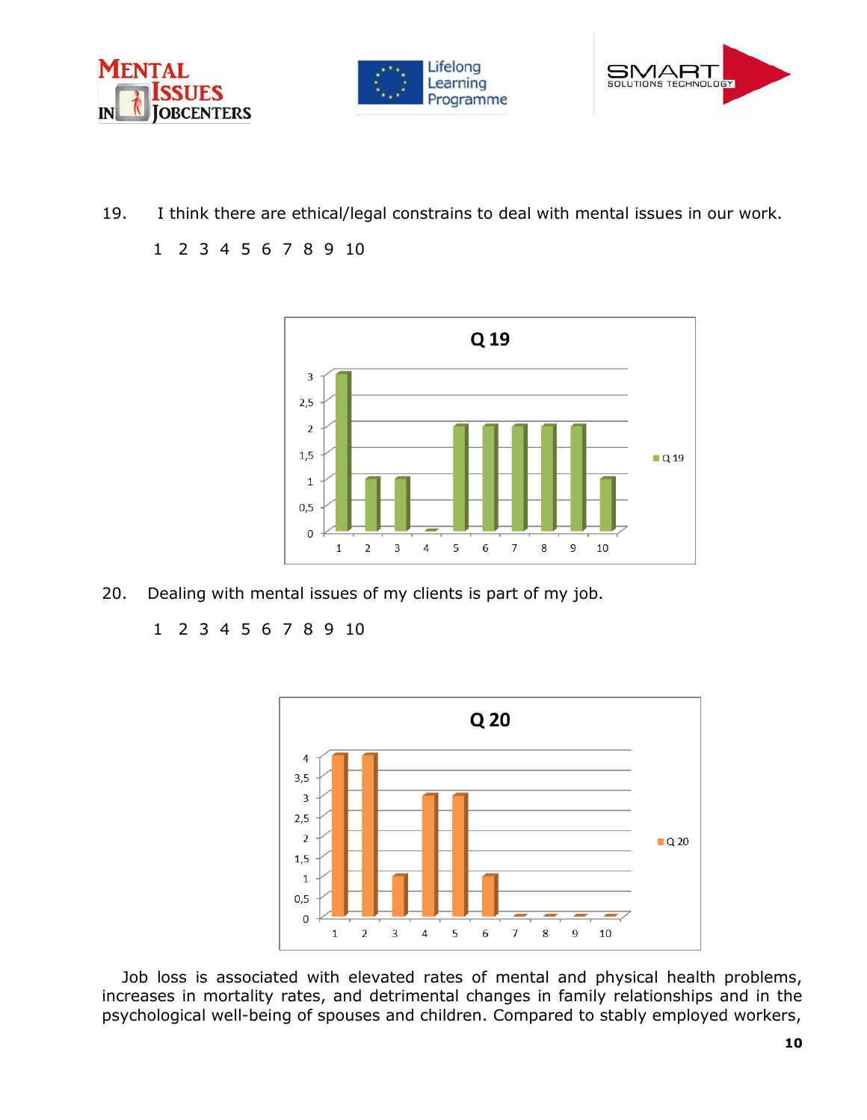





- 19. I think there are ethical/legal constrains to deal with mental issues in our work.
	- 1 2 3 4 5 6 7 8 9 10



20. Dealing with mental issues of my clients is part of my job.

1 2 3 4 5 6 7 8 9 10



Job loss is associated with elevated rates of mental and physical health problems, increases in mortality rates, and detrimental changes in family relationships and in the psychological well-being of spouses and children. Compared to stably employed workers,